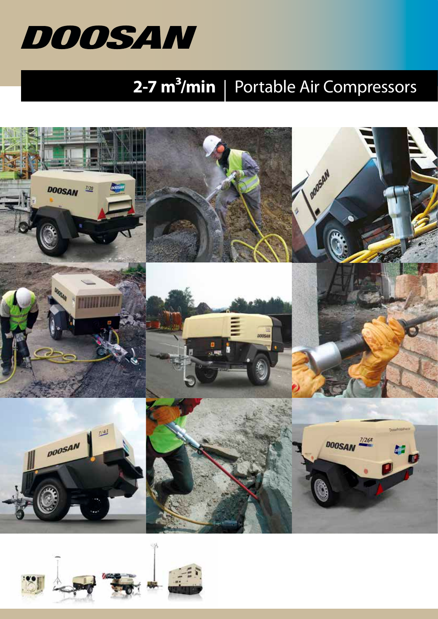

## **2-7 m<sup>3</sup>/min** | Portable Air Compressors